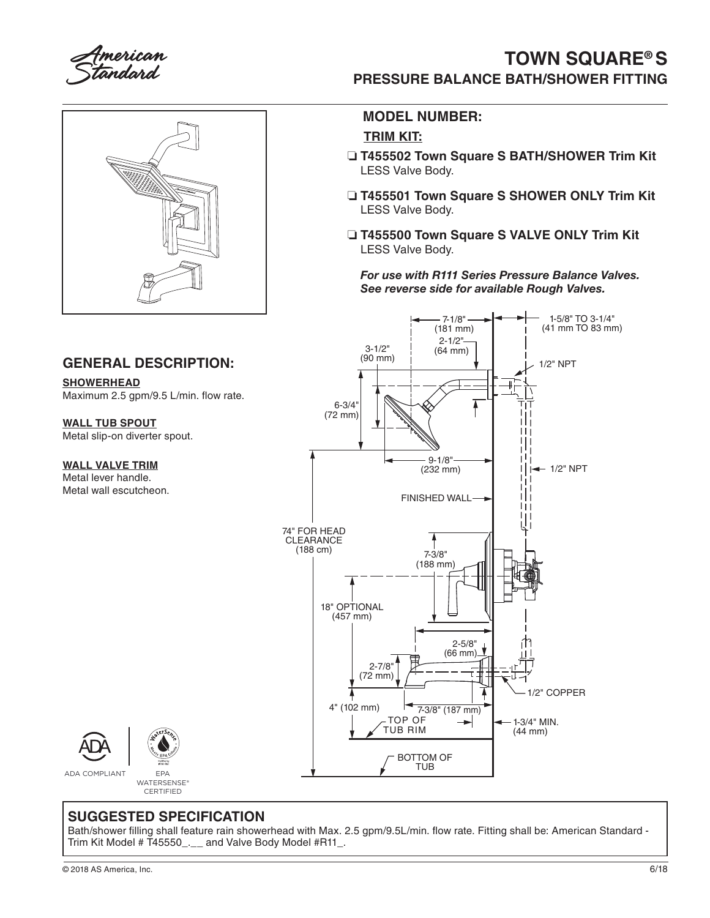merican tandard



#### **GENERAL DESCRIPTION:**

**SHOWERHEAD** Maximum 2.5 gpm/9.5 L/min. flow rate.

**WALL TUB SPOUT** Metal slip-on diverter spout.

#### **WALL VALVE TRIM**

Metal lever handle. Metal wall escutcheon.

## **TOWN SQUARE® S PRESSURE BALANCE BATH/SHOWER FITTING**

### **MODEL NUMBER:**

#### **TRIM KIT:**

- ❏ **T455502 Town Square S BATH/SHOWER Trim Kit** LESS Valve Body.
- ❏ **T455501 Town Square S SHOWER ONLY Trim Kit** LESS Valve Body.
- ❏ **T455500 Town Square S VALVE ONLY Trim Kit** LESS Valve Body.

*For use with R111 Series Pressure Balance Valves. See reverse side for available Rough Valves.* 





ADA COMPLIANT EPA

## WATERSENSE® **CERTIFIED**

### **SUGGESTED SPECIFICATION**

Bath/shower filling shall feature rain showerhead with Max. 2.5 gpm/9.5L/min. flow rate. Fitting shall be: American Standard - Trim Kit Model # T45550\_.\_\_ and Valve Body Model #R11\_.